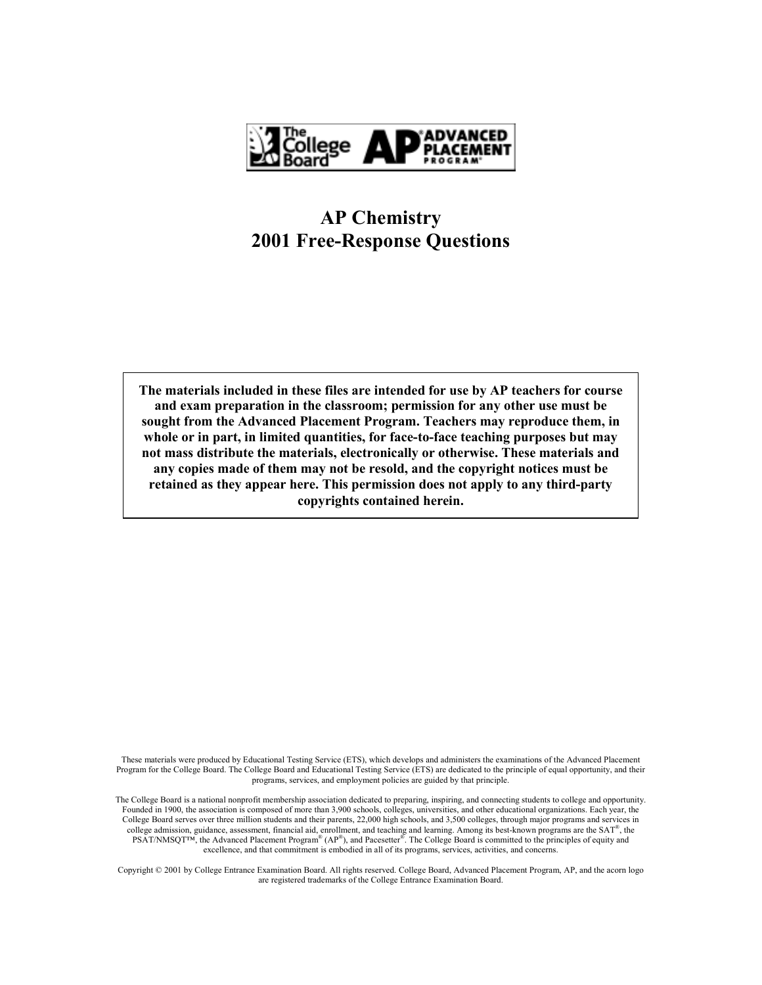

## **AP Chemistry 2001 Free-Response Questions**

**The materials included in these files are intended for use by AP teachers for course and exam preparation in the classroom; permission for any other use must be sought from the Advanced Placement Program. Teachers may reproduce them, in whole or in part, in limited quantities, for face-to-face teaching purposes but may not mass distribute the materials, electronically or otherwise. These materials and any copies made of them may not be resold, and the copyright notices must be retained as they appear here. This permission does not apply to any third-party copyrights contained herein.** 

These materials were produced by Educational Testing Service (ETS), which develops and administers the examinations of the Advanced Placement Program for the College Board. The College Board and Educational Testing Service (ETS) are dedicated to the principle of equal opportunity, and their programs, services, and employment policies are guided by that principle.

The College Board is a national nonprofit membership association dedicated to preparing, inspiring, and connecting students to college and opportunity. Founded in 1900, the association is composed of more than 3,900 schools, colleges, universities, and other educational organizations. Each year, the College Board serves over three million students and their parents, 22,000 high schools, and 3,500 colleges, through major programs and services in college admission, guidance, assessment, financial aid, enrollment, and teaching and learning. Among its best-known programs are the  $SAT^*$ , the PSAT/NMSQT<sup>TM</sup>, the Advanced Placement Program<sup>®</sup> (AP<sup>®</sup>), and Pacesetter<sup>®</sup>. The College Board is committed to the principles of equity and excellence, and that commitment is embodied in all of its programs, services, activities, and concerns.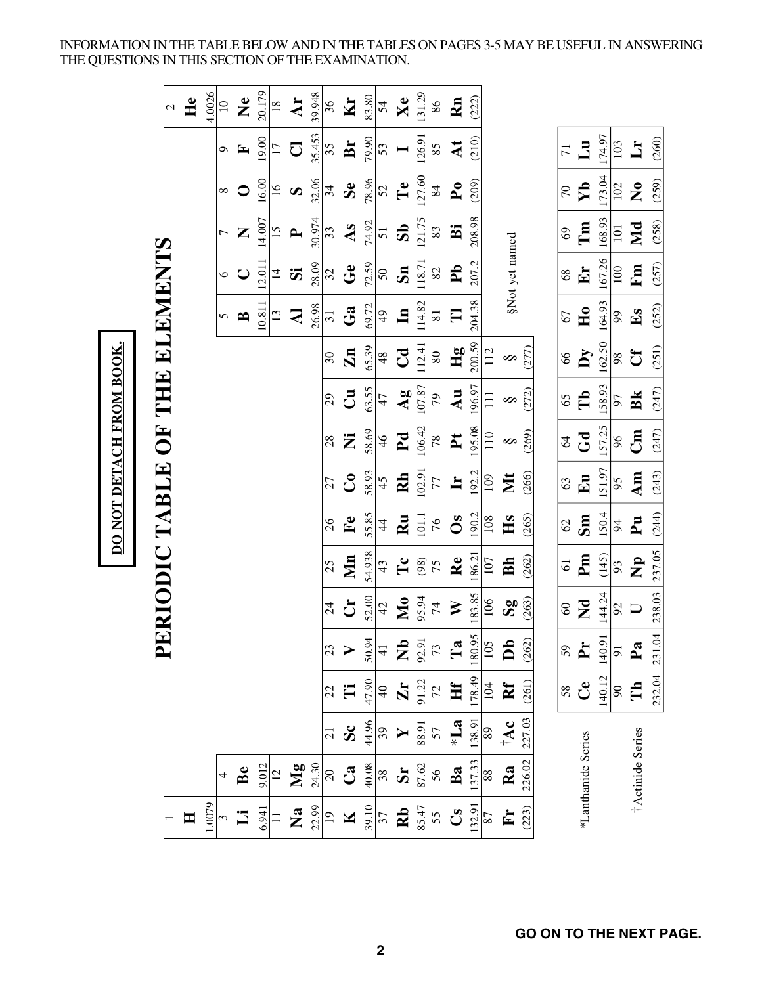INFORMATION IN THE TABLE BELOW AND IN THE TABLES ON PAGES 3-5 MAY BE USEFUL IN ANSWERING THE QUESTIONS IN THIS SECTION OF THE EXAMINATION.

| DO NOT DETACH FROM BOOK. | THE ELEMENTS<br>UH <sub></sub><br>ERIODIC TABLE | $\mathcal{L}$ | He             | 4.0026 | $\overline{a}$<br>$\sigma$<br>$\infty$<br>$\circ$<br>5 | $\mathbf{\Sigma}$<br>$\mathbf{F}$<br>$\bullet$<br>Z<br>$\bigcup$<br>B | 20.179<br>19.00<br>16.00<br>14.007<br>12.011<br>10.811 | 18<br>$\overline{17}$<br>$\overline{16}$<br>15<br>$\vec{a}$<br>13 | Ar<br>$\overline{C}$<br>$\boldsymbol{\omega}$<br>$\mathbf{r}$<br>$\ddot{\bm{z}}$<br>$\mathbf{z}$ | 39.948<br>35.453<br>32.06<br>30.974<br>28.09<br>26.98 | 36<br>35<br>34<br>33<br>32<br>$\overline{31}$<br>$30\,$<br>29<br>28<br>27 | Kr<br>Br<br>Se<br>As<br>$G$ e<br>Ga<br>$\mathbf{Zn}$<br>$\mathbf{5}$<br>Ż<br>$\mathbf{C}$ | 83.80<br>79.90<br>78.96<br>74.92<br>72.59<br>69.72<br>65.39<br>63.55<br>58.69<br>58.93 | 54<br>53<br>52<br>$\overline{51}$<br>${\mathsf S}0$<br>49<br>48<br>47<br>$\frac{4}{6}$<br>45 | Xe<br>Te<br>$\overline{\mathbf{S}}$<br>Sn<br>$\mathbf{u}$<br>$C_{\mathbf{d}}$<br>$\mathbf{A}\mathbf{g}$<br>P <sub>d</sub><br>Rh | 131.29<br>126.91<br>127.60<br>121.75<br>118.71<br>114.82<br>112.41<br>107.87<br>106.42<br>102.91 | $86\,$<br>85<br>84<br>83<br>$82\,$<br>$\overline{8}1$<br>$\rm 80$<br>79<br>$78\,$<br>77 | Rn<br>$\mathbf{M}$<br>$\mathbf{P}_{\mathbf{O}}$<br>$\ddot{\mathbf{B}}$<br>P <sub>b</sub><br>$\Box$<br>Hg<br>Au<br>$\mathbf{r}$<br>$\mathbf{H}$ | (222)<br>(210)<br>(209)<br>208.98<br>207.2<br>204.38<br>200.59<br>196.97<br>195.08<br>192.2 | 112<br>$\Xi$<br>110<br>109 | §Not yet named<br>$\infty$<br>S<br>$\infty$<br>Nt | (277)<br>(272)<br>(269)<br>(266) | $\overline{71}$<br>70<br>69<br>68<br>67<br>66<br>65<br>64<br>63 | Lu<br>$\mathbf{Y}$<br>Tm<br>$E_{\mathbf{r}}$<br>H <sub>0</sub><br>Ŋy<br>Tb<br>Gd<br>Eu | 174.97<br>173.04<br>168.93<br>167.26<br>164.93<br>162.50<br>158.93<br>157.25<br>151.97 | 103<br>102<br>101<br>100<br>$66\,$<br>$\boldsymbol{98}$<br>57<br>96<br>95 | Ë<br>$\mathbf{z}^{\bullet}$<br>Md<br>Fm<br>$E_{\mathbf{S}}$<br>Cf<br>Bk<br>$\mathbb{E}$<br>Am | (260)<br>(259)<br>(258)<br>(257)<br>(252)<br>(251)<br>(247)<br>(247)<br>(243) |
|--------------------------|-------------------------------------------------|---------------|----------------|--------|--------------------------------------------------------|-----------------------------------------------------------------------|--------------------------------------------------------|-------------------------------------------------------------------|--------------------------------------------------------------------------------------------------|-------------------------------------------------------|---------------------------------------------------------------------------|-------------------------------------------------------------------------------------------|----------------------------------------------------------------------------------------|----------------------------------------------------------------------------------------------|---------------------------------------------------------------------------------------------------------------------------------|--------------------------------------------------------------------------------------------------|-----------------------------------------------------------------------------------------|------------------------------------------------------------------------------------------------------------------------------------------------|---------------------------------------------------------------------------------------------|----------------------------|---------------------------------------------------|----------------------------------|-----------------------------------------------------------------|----------------------------------------------------------------------------------------|----------------------------------------------------------------------------------------|---------------------------------------------------------------------------|-----------------------------------------------------------------------------------------------|-------------------------------------------------------------------------------|
|                          |                                                 |               |                |        |                                                        |                                                                       |                                                        |                                                                   |                                                                                                  |                                                       |                                                                           |                                                                                           |                                                                                        |                                                                                              |                                                                                                                                 |                                                                                                  |                                                                                         |                                                                                                                                                |                                                                                             |                            |                                                   |                                  |                                                                 |                                                                                        |                                                                                        |                                                                           |                                                                                               |                                                                               |
|                          |                                                 |               |                |        |                                                        |                                                                       |                                                        |                                                                   |                                                                                                  |                                                       |                                                                           |                                                                                           |                                                                                        |                                                                                              |                                                                                                                                 |                                                                                                  |                                                                                         |                                                                                                                                                |                                                                                             |                            |                                                   |                                  |                                                                 |                                                                                        |                                                                                        |                                                                           |                                                                                               |                                                                               |
|                          |                                                 |               |                |        |                                                        |                                                                       |                                                        |                                                                   |                                                                                                  |                                                       |                                                                           |                                                                                           |                                                                                        |                                                                                              |                                                                                                                                 |                                                                                                  |                                                                                         |                                                                                                                                                |                                                                                             |                            |                                                   |                                  |                                                                 |                                                                                        |                                                                                        |                                                                           |                                                                                               |                                                                               |
|                          |                                                 |               |                |        |                                                        |                                                                       |                                                        |                                                                   |                                                                                                  |                                                       |                                                                           |                                                                                           |                                                                                        |                                                                                              |                                                                                                                                 |                                                                                                  |                                                                                         |                                                                                                                                                |                                                                                             |                            |                                                   |                                  |                                                                 |                                                                                        |                                                                                        |                                                                           |                                                                                               |                                                                               |
|                          |                                                 |               |                |        |                                                        |                                                                       |                                                        |                                                                   |                                                                                                  |                                                       | 26                                                                        | $\mathbf{F}$ e                                                                            | 55.85                                                                                  | $\ddot{4}$                                                                                   | $\mathbf{R}$ u                                                                                                                  | 101.1                                                                                            | 76                                                                                      | $\mathbf{S}$                                                                                                                                   | 190.2                                                                                       | 108                        | Hs                                                | (265)                            | 62                                                              | Sm                                                                                     | 150.4                                                                                  | 64                                                                        | $\mathbf{p}$                                                                                  | (244)                                                                         |
|                          |                                                 |               |                |        |                                                        |                                                                       |                                                        |                                                                   |                                                                                                  |                                                       | 25                                                                        | $\sum_{i=1}^{n}$                                                                          | 54.938                                                                                 | 43                                                                                           | $\mathbf{T} \mathbf{c}$                                                                                                         | (98)                                                                                             | 75                                                                                      | Re                                                                                                                                             | 186.21                                                                                      | 107                        | Bh                                                | (262)                            | $\overline{61}$                                                 | Pm                                                                                     | (145)                                                                                  | 93                                                                        | $\mathbf{z}$                                                                                  | 237.05                                                                        |
|                          |                                                 |               |                |        |                                                        |                                                                       |                                                        |                                                                   |                                                                                                  |                                                       | $\overline{24}$                                                           | $\mathbf{C}$                                                                              | 52.00                                                                                  | 42                                                                                           | $\mathbf{M}$                                                                                                                    | 95.94                                                                                            | $74$                                                                                    | $\triangleright$                                                                                                                               | 183.85                                                                                      | 106                        | $\mathbf{g}_{\mathbf{S}}$                         | (263)                            | $60\,$                                                          | $\mathbf{z}$                                                                           | 144.24                                                                                 | 92                                                                        | $\Box$                                                                                        | 238.03                                                                        |
|                          | 口                                               |               |                |        |                                                        |                                                                       |                                                        |                                                                   |                                                                                                  |                                                       | 23                                                                        |                                                                                           | 50.94                                                                                  | $\overline{41}$                                                                              | $\sum_{s=1}^{5} \frac{1}{s}$                                                                                                    |                                                                                                  |                                                                                         |                                                                                                                                                | $\frac{180.95}{105}$                                                                        |                            | $\overline{\mathbf{D}}$                           | (262)                            | 59                                                              | $\mathbf{P}_{\mathbf{r}}$                                                              | 140.91                                                                                 | $\overline{5}$                                                            | $\mathbf{P}_{\mathbf{a}}$                                                                     | 232.04 231.04                                                                 |
|                          |                                                 |               |                |        |                                                        |                                                                       |                                                        |                                                                   |                                                                                                  |                                                       | 22                                                                        | Ë                                                                                         | 47.90                                                                                  | $\Theta$                                                                                     | $\mathbf{Z}$                                                                                                                    | 91.22                                                                                            | $\overline{z}$                                                                          | Hf                                                                                                                                             | 178.49                                                                                      | $104$                      | $\mathbf{R}^{\mathrm{f}}$                         | (261)                            | 58                                                              | $\mathbf{C}$ e                                                                         | 140.12                                                                                 | $90\,$                                                                    | Ê                                                                                             |                                                                               |
|                          |                                                 |               |                |        |                                                        |                                                                       |                                                        |                                                                   |                                                                                                  |                                                       | $\overline{21}$                                                           | $\mathbf{S}$                                                                              | 44.96                                                                                  | $\overline{\mathbf{39}}$                                                                     | Y                                                                                                                               | 88.91                                                                                            | 57                                                                                      | $\sum_{i=1}^{n}$                                                                                                                               | 138.91                                                                                      | 89                         | $\mathbf{A}^{\dagger}$                            | 227.03                           |                                                                 |                                                                                        |                                                                                        |                                                                           |                                                                                               |                                                                               |
|                          |                                                 |               |                |        | 4                                                      | Be                                                                    | 9.012                                                  | $\overline{c}$                                                    | Mg                                                                                               | 24.30                                                 | $\overline{20}$                                                           | $\mathbf{C}$ a                                                                            | 40.08                                                                                  | 38                                                                                           | $\mathbf{S}\mathbf{r}$ 87.62                                                                                                    |                                                                                                  | 56                                                                                      | Ba                                                                                                                                             | 137.33                                                                                      | 88                         | Ra                                                | 226.02                           |                                                                 | *Lanthanide Series                                                                     |                                                                                        |                                                                           | †Actinide Series                                                                              |                                                                               |
|                          |                                                 |               | $\blacksquare$ | 1.0079 |                                                        | $\ddot{\mathbf{u}}$                                                   | 6.941                                                  | $\Box$                                                            | $\mathbf{z}$                                                                                     | 22.99                                                 | $\overline{19}$                                                           | $\overline{\mathbf{K}}$                                                                   | 39.10                                                                                  | 37                                                                                           | $\mathbf{R}$                                                                                                                    | 85.47                                                                                            | 55                                                                                      | $\mathbf{C}^{\mathbf{S}}$                                                                                                                      | 132.91                                                                                      | 87                         | $\mathbf{F}$                                      | (223)                            |                                                                 |                                                                                        |                                                                                        |                                                                           |                                                                                               |                                                                               |

DO NOT DETACH FROM BOOK.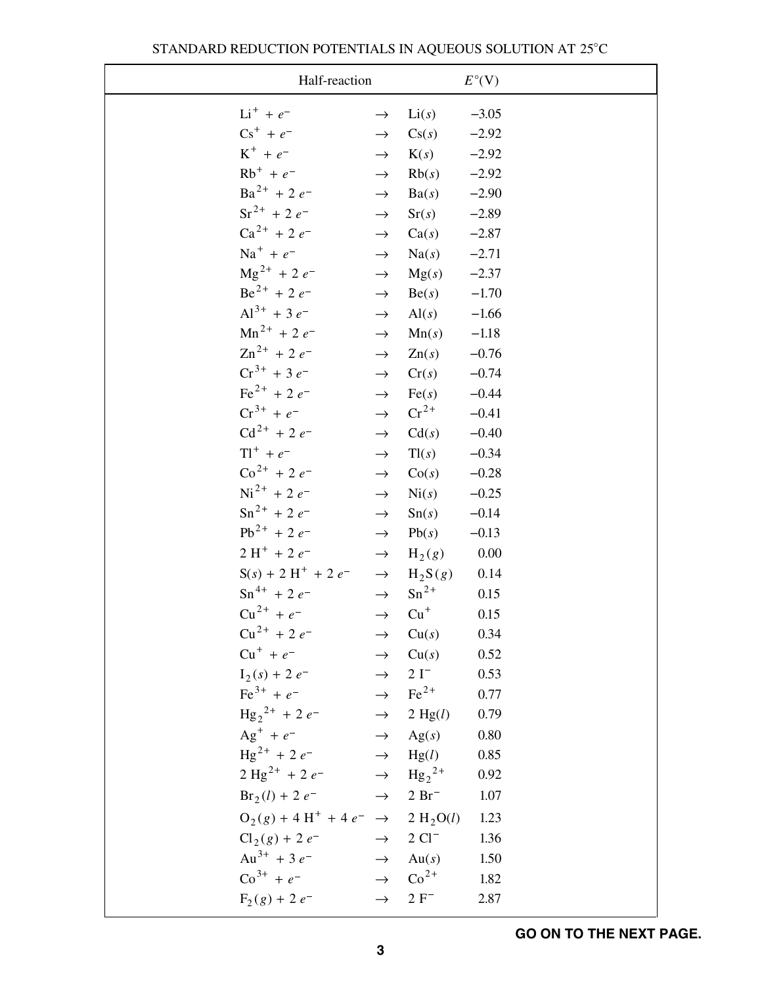| Half-reaction                                              |               |                                   | $E^{\circ}$ (V) |
|------------------------------------------------------------|---------------|-----------------------------------|-----------------|
| $Li^+ + e^-$                                               | $\rightarrow$ | Li(s)                             | $-3.05$         |
| $\text{Cs}^+ + e^-$                                        | $\rightarrow$ | Cs(s)                             | $-2.92$         |
| $K^+ + e^-$                                                | $\rightarrow$ | K(s)                              | $-2.92$         |
| $Rb^{+} + e^{-}$                                           | $\rightarrow$ | Rb(s)                             | $-2.92$         |
| $Ba^{2+}$ + 2 $e^{-}$                                      | $\rightarrow$ | Ba(s)                             | $-2.90$         |
| $Sr^{2+} + 2e^{-}$                                         | $\rightarrow$ | Sr(s)                             | $-2.89$         |
| $Ca^{2+} + 2e^{-}$                                         | $\rightarrow$ | Ca(s)                             | $-2.87$         |
| $Na^{+} + e^{-}$                                           | $\rightarrow$ | $Na(s)$ -2.71                     |                 |
| $\text{Mg}^{2+}$ + 2 $e^-$                                 | $\rightarrow$ | Mg(s)                             | $-2.37$         |
| $Be^{2+}$ + 2 $e^{-}$                                      | $\rightarrow$ | $Be(s)$ -1.70                     |                 |
| $Al^{3+}$ + 3 $e^-$                                        | $\rightarrow$ | $Al(s)$ -1.66                     |                 |
| $Mn^{2+}$ + 2 $e^-$                                        | $\rightarrow$ | Mn(s)                             | $-1.18$         |
| $\text{Zn}^{2+}$ + 2 $e^{-}$                               | $\rightarrow$ | Zn(s)                             | $-0.76$         |
| $Cr^{3+}$ + 3 $e^{-}$                                      | $\rightarrow$ | Cr(s)                             | $-0.74$         |
| $\text{Fe}^{2+}$ + 2 $e^{-}$                               | $\rightarrow$ | Fe(s)                             | $-0.44$         |
| $Cr^{3+} + e^{-}$                                          | $\rightarrow$ | $\mathrm{Cr}^{2+}$                | $-0.41$         |
| $Cd^{2+} + 2e^{-}$                                         | $\rightarrow$ | Cd(s)                             | $-0.40$         |
| $T1^{+} + e^{-}$                                           | $\rightarrow$ | Tl(s)                             | $-0.34$         |
| $\text{Co}^{2+}$ + 2 $e^{-}$                               | $\rightarrow$ | Co(s)                             | $-0.28$         |
| $Ni^{2+}$ + 2 $e^{-}$                                      | $\rightarrow$ | $\mathrm{Ni}(s)$                  | $-0.25$         |
| $\text{Sn}^{2+}$ + 2 $e^{-}$                               | $\rightarrow$ | Sn(s)                             | $-0.14$         |
| $Pb^{2+} + 2e^{-}$                                         | $\rightarrow$ | Pb(s)                             | $-0.13$         |
| $2H^{+}$ + 2 $e^{-}$                                       | $\rightarrow$ | $H_2(g)$                          | 0.00            |
| $S(s) + 2H^{+} + 2e^{-}$                                   |               | $\rightarrow$ H <sub>2</sub> S(g) | 0.14            |
| $\text{Sn}^{4+}$ + 2 e <sup>-1</sup>                       |               | $\rightarrow$ Sn <sup>2+</sup>    | 0.15            |
| $Cu^{2+} + e^{-}$                                          | $\rightarrow$ | $Cu+$                             | 0.15            |
| $Cu^{2+} + 2e^ \rightarrow$ $Cu(s)$                        |               |                                   | 0.34            |
| $Cu^{+} + e^{-}$                                           |               | $\rightarrow$ Cu(s)               | 0.52            |
| $I_2(s) + 2 e^ \rightarrow$ 2 I <sup>-</sup>               |               |                                   | 0.53            |
| $\text{Fe}^{3+} + e^ \rightarrow \text{Fe}^{2+}$           |               |                                   | 0.77            |
| $\text{Hg}_2^{2+} + 2e^ \rightarrow$ 2 Hg(l)               |               |                                   | 0.79            |
| $Ag^+ + e^ \rightarrow$ $Ag(s)$                            |               |                                   | $0.80\,$        |
| $\text{Hg}^{2+} + 2e^ \rightarrow$ $\text{Hg}(l)$          |               |                                   | 0.85            |
| $2 \text{ Hg}^{2+} + 2 e^{-} \rightarrow \text{Hg}_2^{2+}$ |               |                                   | 0.92            |
| $Br_2(l) + 2 e^ \rightarrow$ 2 Br <sup>-</sup>             |               |                                   | 1.07            |
| $O_2(g) + 4 H^+ + 4 e^- \rightarrow 2 H_2 O(l)$            |               |                                   | 1.23            |
| $Cl_2(g) + 2e^ \rightarrow$ 2 $Cl^-$                       |               |                                   | 1.36            |
| $Au^{3+} + 3e^{-}$ $\rightarrow$ Au(s)                     |               |                                   | 1.50            |
| $\text{Co}^{3+} + e^ \rightarrow \text{Co}^{2+}$           |               |                                   | 1.82            |
| $F_2(g) + 2 e^{-}$                                         |               | $\rightarrow$ 2 F <sup>-</sup>    | 2.87            |
|                                                            |               |                                   |                 |

## STANDARD REDUCTION POTENTIALS IN AQUEOUS SOLUTION AT 25°C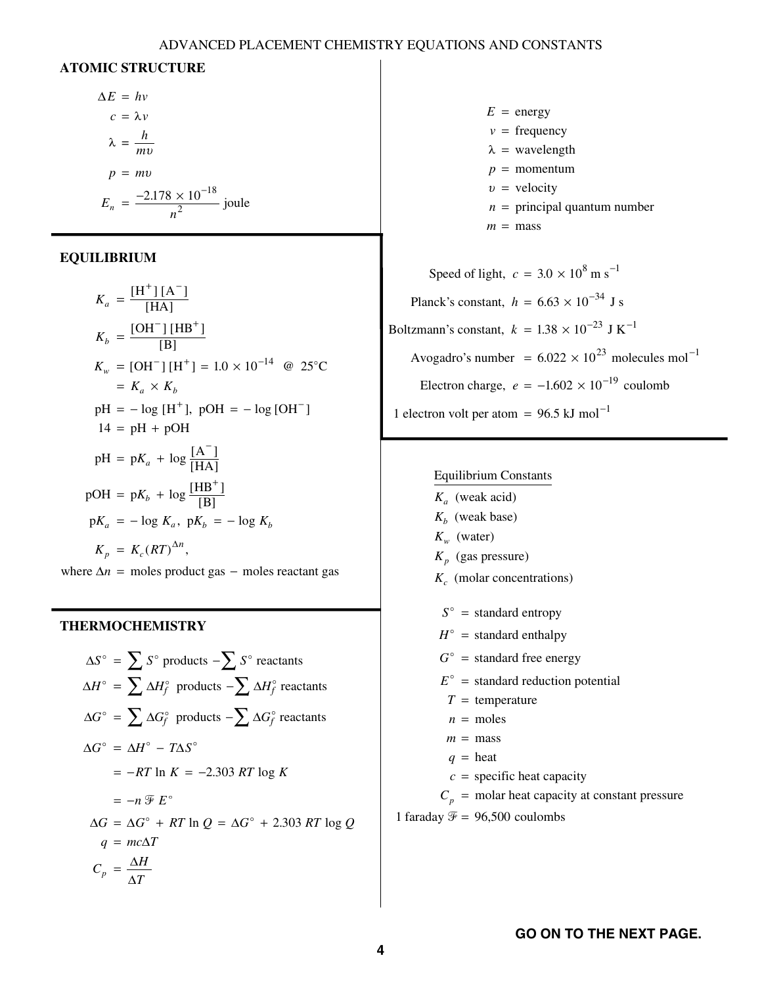#### ADVANCED PLACEMENT CHEMISTRY EQUATIONS AND CONSTANTS

#### **ATOMIC STRUCTURE**

$$
\Delta E = hv
$$
  
\n
$$
c = \lambda v
$$
  
\n
$$
\lambda = \frac{h}{mv}
$$
  
\n
$$
p = mv
$$
  
\n
$$
E_n = \frac{-2.178 \times 10^{-18}}{n^2} \text{ joule}
$$

#### **EQUILIBRIUM**

$$
K_a = \frac{[H^+][A^-]}{[HA]}
$$
  
\n
$$
K_b = \frac{[OH^-][HB^+]}{[B]}
$$
  
\n
$$
K_w = [OH^-][H^+] = 1.0 \times 10^{-14} \text{ @ } 25^{\circ}\text{C}
$$
  
\n
$$
= K_a \times K_b
$$
  
\n
$$
pH = -\log [H^+], \text{ pOH} = -\log [OH^-]
$$
  
\n
$$
14 = pH + pOH
$$
  
\n
$$
pH = pK_a + \log \frac{[A^-]}{[HA]}
$$
  
\n
$$
pOH = pK_b + \log \frac{[HB^+]}{[B]}
$$
  
\n
$$
pK_a = -\log K_a, \text{ pK}_b = -\log K_b
$$
  
\n
$$
K_p = K_c (RT)^{\Delta n},
$$

where  $\Delta n$  = moles product gas – moles reactant gas

#### **THERMOCHEMISTRY**

$$
\Delta S^{\circ} = \sum S^{\circ} \text{ products } -\sum S^{\circ} \text{ reactants}
$$
  
\n
$$
\Delta H^{\circ} = \sum \Delta H_f^{\circ} \text{ products } -\sum \Delta H_f^{\circ} \text{ reactants}
$$
  
\n
$$
\Delta G^{\circ} = \sum \Delta G_f^{\circ} \text{ products } -\sum \Delta G_f^{\circ} \text{ reactants}
$$
  
\n
$$
\Delta G^{\circ} = \Delta H^{\circ} - T \Delta S^{\circ}
$$
  
\n
$$
= -RT \ln K = -2.303 RT \log K
$$
  
\n
$$
= -n \mathcal{F} E^{\circ}
$$
  
\n
$$
\Delta G = \Delta G^{\circ} + RT \ln Q = \Delta G^{\circ} + 2.303 RT \log Q
$$
  
\n
$$
q = mc\Delta T
$$
  
\n
$$
C_p = \frac{\Delta H}{\Delta T}
$$

 $E =$  energy  $v = \text{frequency}$  $p =$  momentum *n* = principal quantum number  $m = \text{mass}$  $\lambda$  = wavelength  $v =$  velocity

Speed of light,  $c = 3.0 \times 10^8$  m s<sup>-1</sup> Planck's constant,  $h = 6.63 \times 10^{-34}$  J s Boltzmann's constant,  $k = 1.38 \times 10^{-23}$  J K<sup>-1</sup> Avogadro's number =  $6.022 \times 10^{23}$  molecules mol<sup>-1</sup> Electron charge,  $e = -1.602 \times 10^{-19}$  coulomb 1 electron volt per atom =  $96.5$  kJ mol<sup>-1</sup>

#### Equilibrium Constants

(weak acid) *K a*  $K_b$  (weak base)  $K_w$  (water) (gas pressure) *K p* (molar concentrations) *K c*  $S^{\circ}$  = standard entropy  $H^{\circ}$  = standard enthalpy  $G^{\circ}$  = standard free energy  $E^{\circ}$  = standard reduction potential  $T =$  temperature  $n =$  moles  $m = \text{mass}$  $q =$  heat  $c =$  specific heat capacity  $C_p$  = molar heat capacity at constant pressure 1 faraday  $\mathcal{F} = 96,500$  coulombs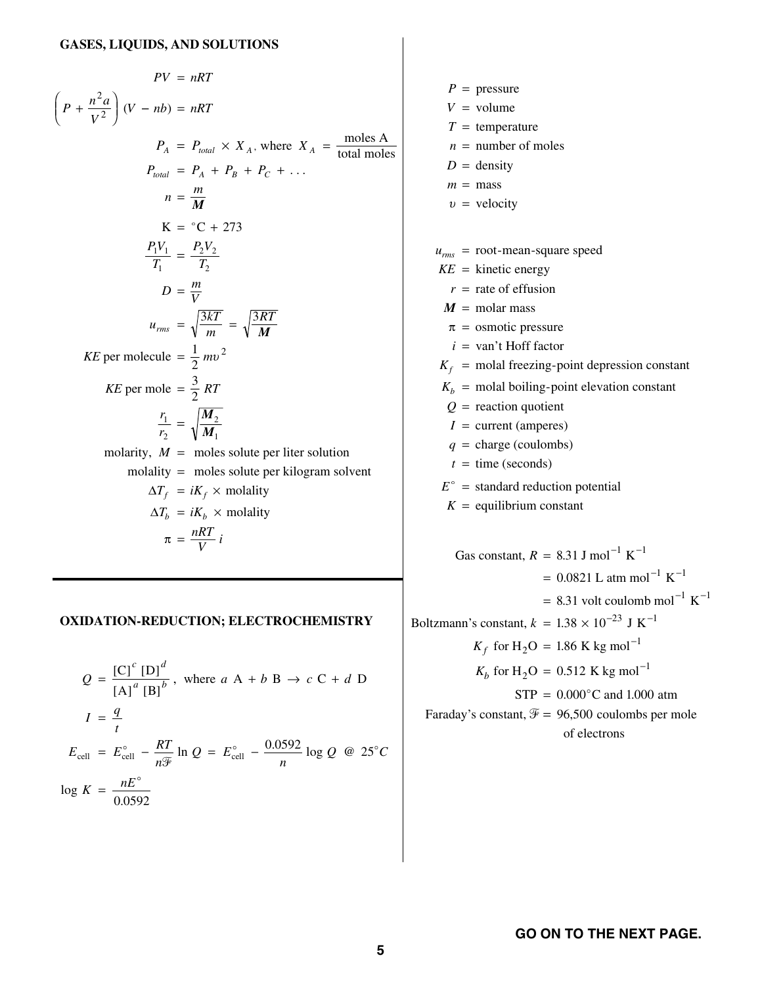$$
PV = nRT
$$
\n
$$
\left(P + \frac{n^2 a}{V^2}\right)(V - nb) = nRT
$$
\n
$$
P_A = P_{total} \times X_A, \text{ where } X_A = \frac{\text{moles A}}{\text{total moles}}
$$
\n
$$
P_{total} = P_A + P_B + P_C + \dots
$$
\n
$$
n = \frac{m}{M}
$$
\n
$$
K = {}^{\circ}C + 273
$$
\n
$$
\frac{P_1V_1}{T_1} = \frac{P_2V_2}{T_2}
$$
\n
$$
D = \frac{m}{V}
$$
\n
$$
u_{rms} = \sqrt{\frac{3kT}{M}} = \sqrt{\frac{3RT}{M}}
$$
\n
$$
KE \text{ per molecule } = \frac{1}{2}mv^2
$$
\n
$$
KE \text{ per molecul} = \frac{3}{2}RT
$$
\n
$$
\frac{r_1}{r_2} = \sqrt{\frac{M_2}{M_1}}
$$
\n
$$
\text{molarity}, M = \text{moles solute per liter solution}
$$
\n
$$
\text{molarity} = \frac{mRT}{V}i
$$

#### **OXIDATION-REDUCTION; ELECTROCHEMISTRY**

$$
Q = \frac{[C]^c [D]^d}{[A]^a [B]^b}, \text{ where } a A + b B \rightarrow c C + d D
$$
  

$$
I = \frac{q}{t}
$$
  

$$
E_{cell} = E_{cell}^{\circ} - \frac{RT}{n\mathcal{F}} \ln Q = E_{cell}^{\circ} - \frac{0.0592}{n} \log Q \text{ @ } 25^{\circ}C
$$
  

$$
\log K = \frac{nE^{\circ}}{0.0592}
$$

$$
P = \text{pressure}
$$
\n
$$
V = \text{volume}
$$
\n
$$
T = \text{temperature}
$$
\n
$$
n = \text{number of moles}
$$
\n
$$
D = \text{density}
$$
\n
$$
m = \text{mass}
$$
\n
$$
v = \text{velocity}
$$
\n
$$
u_{\text{rms}} = \text{root} - \text{mean-square speed}
$$
\n
$$
KE = \text{kinetic energy}
$$
\n
$$
r = \text{rate of effusion}
$$
\n
$$
M = \text{molar mass}
$$
\n
$$
\pi = \text{osmotic pressure}
$$
\n
$$
i = \text{van't Hoff factor}
$$
\n
$$
K_f = \text{molal freezing-point depression constant}
$$
\n
$$
K_b = \text{molal boiling-point elevation constant}
$$
\n
$$
Q = \text{reaction quotient}
$$
\n
$$
I = \text{current (amperes)}
$$
\n
$$
q = \text{charge (coulombs)}
$$
\n
$$
t = \text{time (seconds)}
$$
\n
$$
E^{\circ} = \text{standard reduction potential}
$$
\n
$$
K = \text{equilibrium constant}
$$
\n
$$
G \text{as constant}, R = 8.31 \text{ J mol}^{-1} \text{ K}^{-1}
$$
\n
$$
= 0.0821 \text{ L atm mol}^{-1} \text{ K}^{-1}
$$
\n
$$
= 8.31 \text{ volt coulomb mol}^{-1} \text{ K}^{-1}
$$
\n
$$
= 8.31 \text{ volt coulomb mol}^{-1} \text{ K}^{-1}
$$
\n
$$
= 8.31 \text{ volt coulomb mol}^{-1} \text{ K}^{-1}
$$
\n
$$
= 8.31 \text{ Vol. } \text{coulomb mol}^{-1} \text{ K}^{-1}
$$
\n
$$
= 8.31 \text{ Vol. } \text{coulomb mol}^{-1} \text{ K}^{-1}
$$
\n
$$
= 8.31 \text{ Vol. } \text{coulomb mol}^{-1} \text{ K}^{-1}
$$
\n
$$
= 8.31 \text{ Vol. } \text{C} = 1.86 \text{ K kg mol}^{-1}
$$

$$
K_b
$$
 for H<sub>2</sub>O = 0.512 K kg mol<sup>-1</sup>

 $STP = 0.000^{\circ}$ C and 1.000 atm

Faraday's constant,  $\mathcal{F} = 96,500$  coulombs per mole of electrons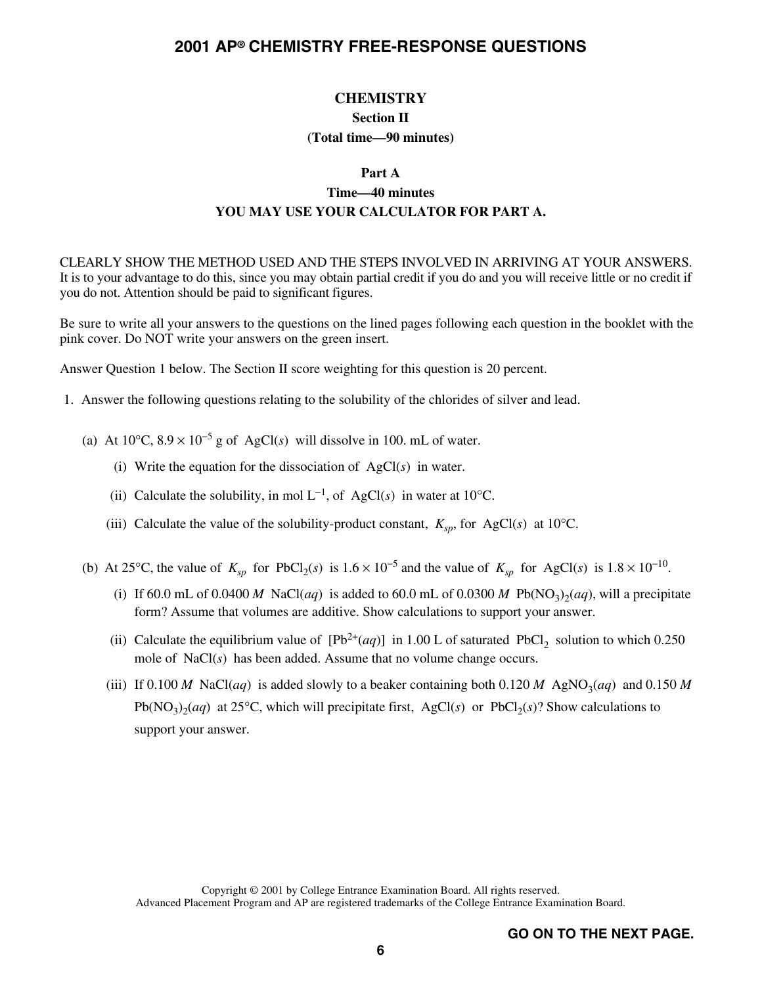## **CHEMISTRY Section II (Total time—90 minutes)**

#### **Part A**

## **Time—40 minutes YOU MAY USE YOUR CALCULATOR FOR PART A.**

CLEARLY SHOW THE METHOD USED AND THE STEPS INVOLVED IN ARRIVING AT YOUR ANSWERS. It is to your advantage to do this, since you may obtain partial credit if you do and you will receive little or no credit if you do not. Attention should be paid to significant figures.

Be sure to write all your answers to the questions on the lined pages following each question in the booklet with the pink cover. Do NOT write your answers on the green insert.

Answer Question 1 below. The Section II score weighting for this question is 20 percent.

- 1. Answer the following questions relating to the solubility of the chlorides of silver and lead.
	- (a) At  $10^{\circ}$ C,  $8.9 \times 10^{-5}$  g of AgCl(s) will dissolve in 100. mL of water.
		- (i) Write the equation for the dissociation of AgCl(*s*) in water.
		- (ii) Calculate the solubility, in mol  $L^{-1}$ , of AgCl(s) in water at 10<sup>o</sup>C.
		- (iii) Calculate the value of the solubility-product constant,  $K_{sp}$ , for AgCl(s) at 10°C.
	- (b) At 25°C, the value of  $K_{sp}$  for PbCl<sub>2</sub>(*s*) is  $1.6 \times 10^{-5}$  and the value of  $K_{sp}$  for AgCl(*s*) is  $1.8 \times 10^{-10}$ .
		- (i) If 60.0 mL of 0.0400 *M* NaCl(*aq*) is added to 60.0 mL of 0.0300 *M* Pb(NO<sub>3</sub>)<sub>2</sub>(*aq*), will a precipitate form? Assume that volumes are additive. Show calculations to support your answer.
		- (ii) Calculate the equilibrium value of  $[Pb^{2+}(aq)]$  in 1.00 L of saturated PbCl<sub>2</sub> solution to which 0.250 mole of NaCl(*s*) has been added. Assume that no volume change occurs.
		- (iii) If 0.100 *M* NaCl(*aq*) is added slowly to a beaker containing both 0.120 *M* AgNO<sub>3</sub>(*aq*) and 0.150 *M*  $Pb(NO<sub>3</sub>)(aq)$  at 25°C, which will precipitate first, AgCl(s) or PbCl<sub>2</sub>(s)? Show calculations to support your answer.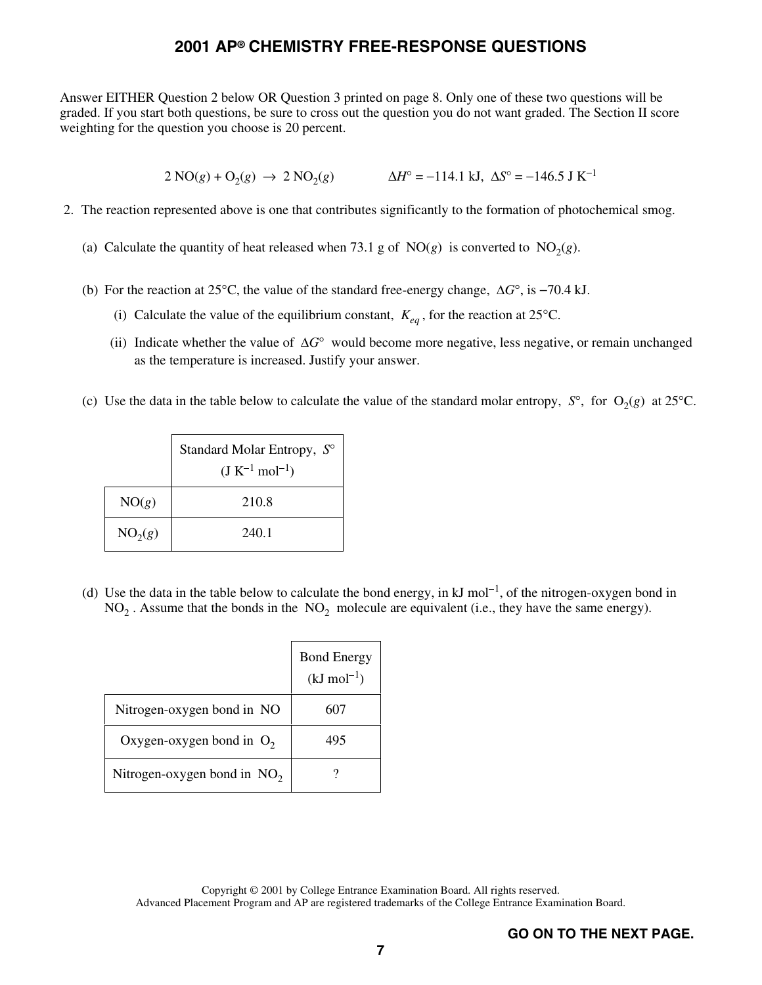Answer EITHER Question 2 below OR Question 3 printed on page 8. Only one of these two questions will be graded. If you start both questions, be sure to cross out the question you do not want graded. The Section II score weighting for the question you choose is 20 percent.

 $2 \text{ NO}(g) + \text{O}_2(g) \rightarrow 2 \text{ NO}_2(g)$   $\Delta H^\circ = -114.1 \text{ kJ}, \Delta S^\circ = -146.5 \text{ J K}^{-1}$ 

- 2. The reaction represented above is one that contributes significantly to the formation of photochemical smog.
	- (a) Calculate the quantity of heat released when 73.1 g of NO( $g$ ) is converted to NO<sub>2</sub>( $g$ ).
	- (b) For the reaction at 25<sup>o</sup>C, the value of the standard free-energy change,  $\Delta G^{\circ}$ , is -70.4 kJ.
		- (i) Calculate the value of the equilibrium constant,  $K_{eq}$ , for the reaction at 25°C.
		- (ii) Indicate whether the value of  $\Delta G^{\circ}$  would become more negative, less negative, or remain unchanged as the temperature is increased. Justify your answer.
	- (c) Use the data in the table below to calculate the value of the standard molar entropy,  $S^{\circ}$ , for  $O_2(g)$  at 25<sup>o</sup>C.

|                     | Standard Molar Entropy, S°<br>$(J K^{-1} mol^{-1})$ |
|---------------------|-----------------------------------------------------|
| NO(g)               | 210.8                                               |
| NO <sub>2</sub> (g) | 240.1                                               |

(d) Use the data in the table below to calculate the bond energy, in  $kJ$  mol<sup>-1</sup>, of the nitrogen-oxygen bond in  $NO<sub>2</sub>$ . Assume that the bonds in the  $NO<sub>2</sub>$  molecule are equivalent (i.e., they have the same energy).

|                               | <b>Bond Energy</b><br>$(kJ \text{ mol}^{-1})$ |
|-------------------------------|-----------------------------------------------|
| Nitrogen-oxygen bond in NO    | 607                                           |
| Oxygen-oxygen bond in $O_2$   | 495                                           |
| Nitrogen-oxygen bond in $NO2$ |                                               |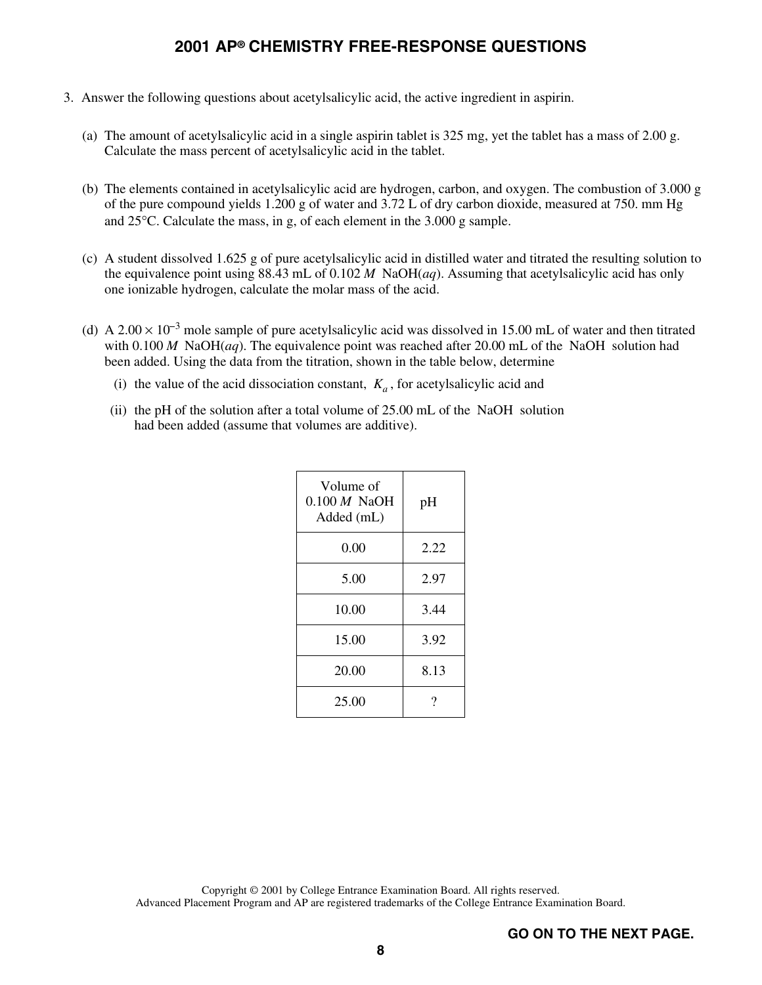- 3. Answer the following questions about acetylsalicylic acid, the active ingredient in aspirin.
	- (a) The amount of acetylsalicylic acid in a single aspirin tablet is 325 mg, yet the tablet has a mass of 2.00 g. Calculate the mass percent of acetylsalicylic acid in the tablet.
	- (b) The elements contained in acetylsalicylic acid are hydrogen, carbon, and oxygen. The combustion of 3.000 g of the pure compound yields 1.200 g of water and 3.72 L of dry carbon dioxide, measured at 750. mm Hg and 25°C. Calculate the mass, in g, of each element in the 3.000 g sample.
	- (c) A student dissolved 1.625 g of pure acetylsalicylic acid in distilled water and titrated the resulting solution to the equivalence point using 88.43 mL of 0.102 *M* NaOH(*aq*). Assuming that acetylsalicylic acid has only one ionizable hydrogen, calculate the molar mass of the acid.
	- (d) A 2.00  $\times$  10<sup>-3</sup> mole sample of pure acetylsalicylic acid was dissolved in 15.00 mL of water and then titrated with  $0.100 M$  NaOH(*aq*). The equivalence point was reached after 20.00 mL of the NaOH solution had been added. Using the data from the titration, shown in the table below, determine
		- (i) the value of the acid dissociation constant,  $K_a$ , for acetylsalicylic acid and
		- (ii) the pH of the solution after a total volume of 25.00 mL of the NaOH solution had been added (assume that volumes are additive).

| Volume of<br>$0.100 M$ NaOH<br>Added (mL) | pH   |
|-------------------------------------------|------|
| 0.00                                      | 2.22 |
| 5.00                                      | 2.97 |
| 10.00                                     | 3.44 |
| 15.00                                     | 3.92 |
| 20.00                                     | 8.13 |
| 25.00                                     | ?    |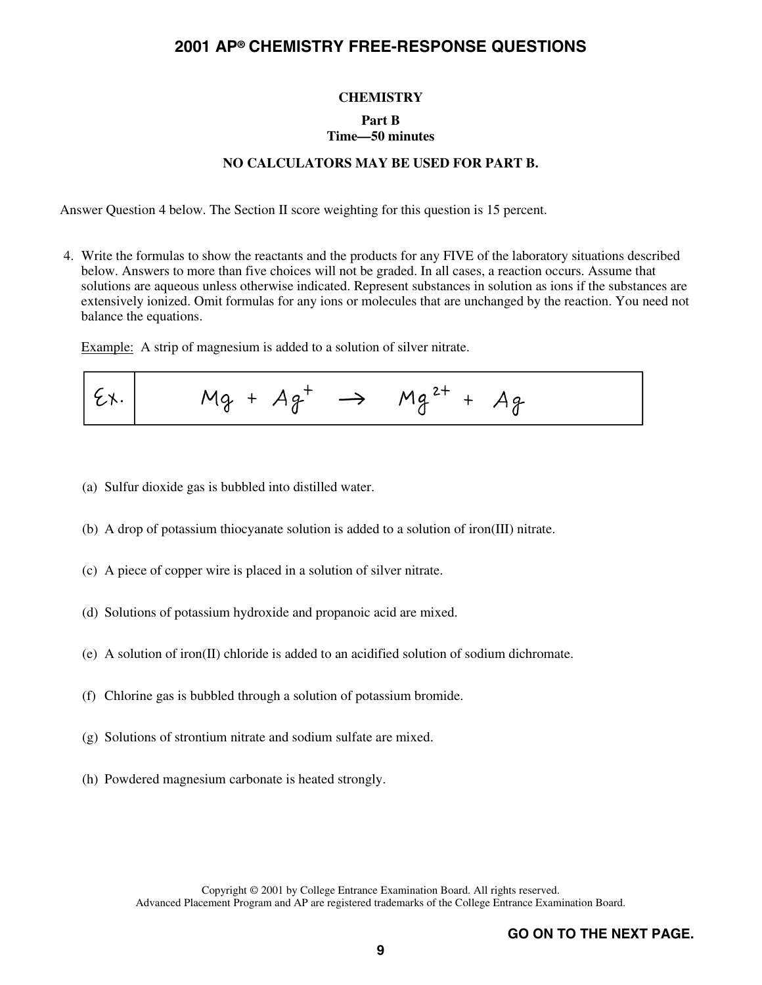#### **CHEMISTRY**

#### **Part B**

## **Time—50 minutes**

#### **NO CALCULATORS MAY BE USED FOR PART B.**

Answer Question 4 below. The Section II score weighting for this question is 15 percent.

4. Write the formulas to show the reactants and the products for any FIVE of the laboratory situations described below. Answers to more than five choices will not be graded. In all cases, a reaction occurs. Assume that solutions are aqueous unless otherwise indicated. Represent substances in solution as ions if the substances are extensively ionized. Omit formulas for any ions or molecules that are unchanged by the reaction. You need not balance the equations.

Example: A strip of magnesium is added to a solution of silver nitrate.

$$
\left[\begin{matrix} \epsilon_{\lambda} & \mathsf{Mq} + Aq^+ & \rightarrow & Mq^{2+} + Aq \end{matrix}\right]
$$

- (a) Sulfur dioxide gas is bubbled into distilled water.
- (b) A drop of potassium thiocyanate solution is added to a solution of iron(III) nitrate.
- (c) A piece of copper wire is placed in a solution of silver nitrate.
- (d) Solutions of potassium hydroxide and propanoic acid are mixed.
- (e) A solution of iron(II) chloride is added to an acidified solution of sodium dichromate.
- (f) Chlorine gas is bubbled through a solution of potassium bromide.
- (g) Solutions of strontium nitrate and sodium sulfate are mixed.
- (h) Powdered magnesium carbonate is heated strongly.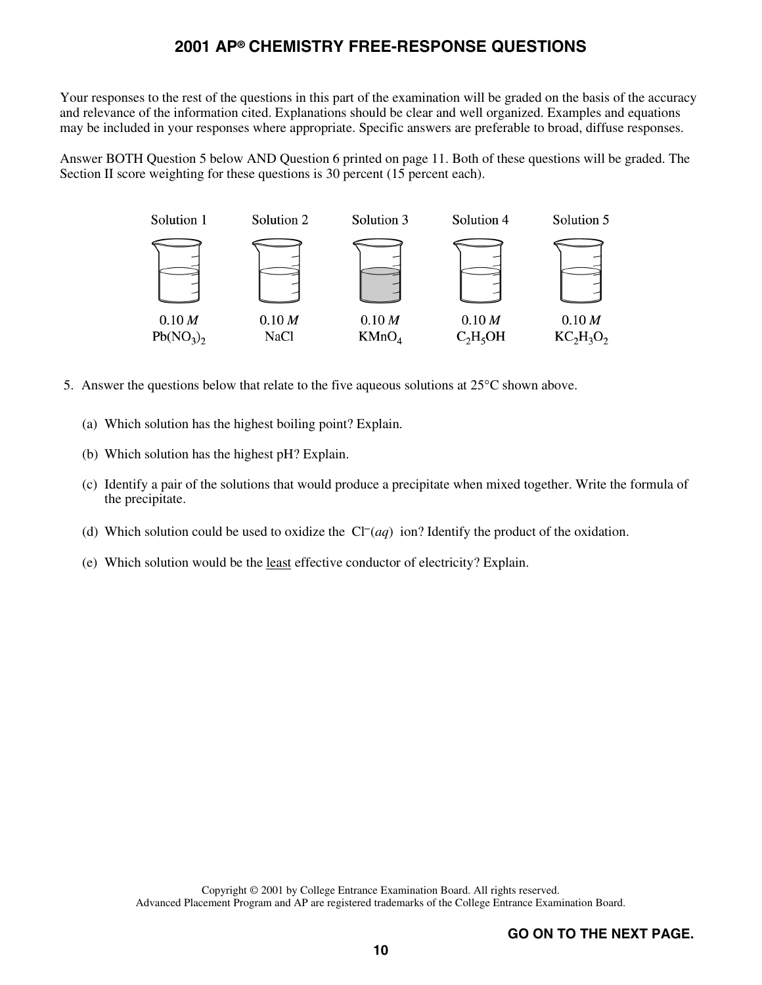Your responses to the rest of the questions in this part of the examination will be graded on the basis of the accuracy and relevance of the information cited. Explanations should be clear and well organized. Examples and equations may be included in your responses where appropriate. Specific answers are preferable to broad, diffuse responses.

Answer BOTH Question 5 below AND Question 6 printed on page 11. Both of these questions will be graded. The Section II score weighting for these questions is 30 percent (15 percent each).



- 5. Answer the questions below that relate to the five aqueous solutions at  $25^{\circ}$ C shown above.
	- (a) Which solution has the highest boiling point? Explain.
	- (b) Which solution has the highest pH? Explain.
	- (c) Identify a pair of the solutions that would produce a precipitate when mixed together. Write the formula of the precipitate.<br>(d) Which solution could be used to oxidize the  $Cl^-(aq)$  ion? Identify the product of the oxi the precipitate.
	-
	- (e) Which solution would be the least effective conductor of electricity? Explain.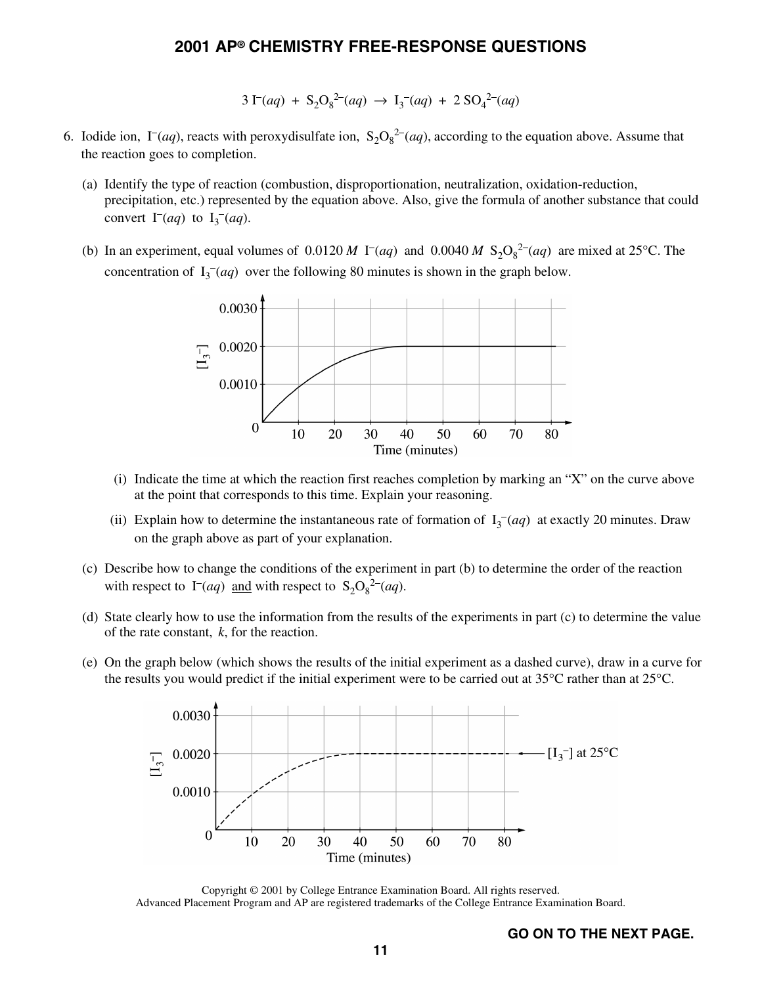# **2001 AP® CHEMISTRY FREE-RESPONSE QUESTIONS**<br> $3 \Gamma(aq) + S_2 O_8^{2−}(aq) \rightarrow I_3^{−}(aq) + 2\,SO_4^{2−}(aq)$

$$
3\,\Gamma(aq) + S_2O_8^{2-}(aq) \rightarrow I_3^-(aq) + 2\,SO_4^{2-}(aq)
$$

- $3 \Gamma(aq) + S_2O_8^{2-}(aq) \rightarrow I_3^-(aq) + 2 SO_4^{2-}(aq)$ <br>6. Iodide ion,  $\Gamma(aq)$ , reacts with peroxydisulfate ion,  $S_2O_8^{2-}(aq)$ , according to the equation above. Assume that the reaction goes to completion. -
	- (a) Identify the type of reaction (combustion, disproportionation, neutralization, oxidation-reduction, precipitation, etc.) represented by the equation above. Also, give the formula of another substance that could Exection goes to comprehensive of reprecipitation, etc.) reprecipitation, etc.) reprecipitation, etc.)  $I_3$  $I_3^-(aq)$ . (a) Identity the type of reaction (comeastion, dispreparation, heditalization, ontation reaction,<br>precipitation, etc.) represented by the equation above. Also, give the formula of another substance that course<br>convert  $\Gamma$ 1.
	- concentration of  $I_3$ <sup>-</sup>(*aq*) over the following 80 minutes is shown in the graph below.



- (i) Indicate the time at which the reaction first reaches completion by marking an "X" on the curve above at the point that corresponds to this time. Explain your reasoning.
- (ii) Explain how to determine the instantaneous rate of formation of  $I_3$ <sup>-</sup>(*aq*) at exactly 20 minutes. Draw on the graph above as part of your explanation.
- (c) Describe how to change the conditions of the experiment in part (b) to determine the order of the reaction on the graph above as part of your explanation.<br>Describe how to change the conditions of the experime with respect to  $\Gamma(aq)$  and with respect to  $S_2O_8^{2-}(aq)$ .
- (d) State clearly how to use the information from the results of the experiments in part (c) to determine the value of the rate constant, *k*, for the reaction.
- (e) On the graph below (which shows the results of the initial experiment as a dashed curve), draw in a curve for the results you would predict if the initial experiment were to be carried out at  $35^{\circ}$ C rather than at  $25^{\circ}$ C.



Copyright © 2001 by College Entrance Examination Board. All rights reserved. Advanced Placement Program and AP are registered trademarks of the College Entrance Examination Board.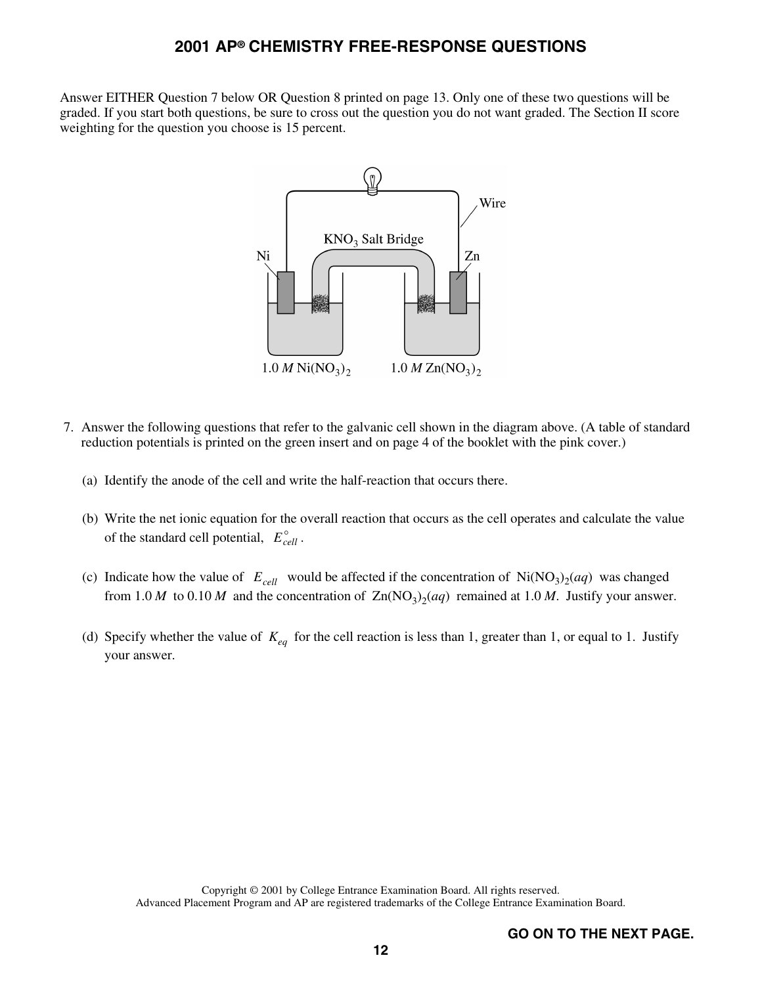Answer EITHER Question 7 below OR Question 8 printed on page 13. Only one of these two questions will be graded. If you start both questions, be sure to cross out the question you do not want graded. The Section II score weighting for the question you choose is 15 percent.



- 7. Answer the following questions that refer to the galvanic cell shown in the diagram above. (A table of standard reduction potentials is printed on the green insert and on page 4 of the booklet with the pink cover.)
	- (a) Identify the anode of the cell and write the half-reaction that occurs there.
	- (b) Write the net ionic equation for the overall reaction that occurs as the cell operates and calculate the value of the standard cell potential,  $E_{cell}^{\circ}$ .
	- (c) Indicate how the value of  $E_{cell}$  would be affected if the concentration of Ni(NO<sub>3</sub>)<sub>2</sub>(*aq*) was changed from 1.0 *M* to 0.10 *M* and the concentration of  $\text{Zn}(\text{NO}_3)_{2}(aq)$  remained at 1.0 *M*. Justify your answer.
	- (d) Specify whether the value of  $K_{eq}$  for the cell reaction is less than 1, greater than 1, or equal to 1. Justify your answer.